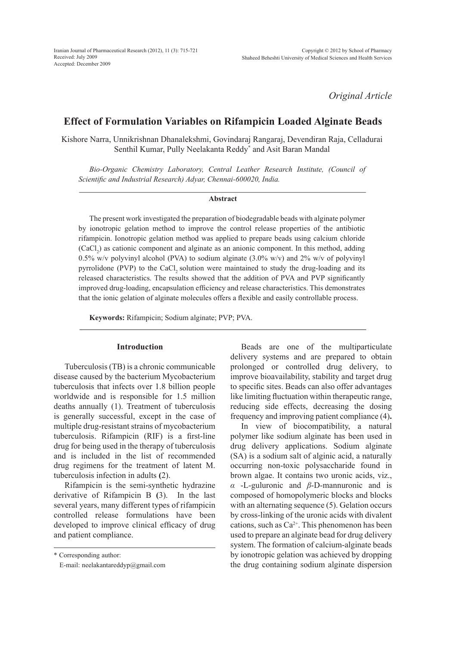*Original Article*

# **Effect of Formulation Variables on Rifampicin Loaded Alginate Beads**

Kishore Narra, Unnikrishnan Dhanalekshmi, Govindaraj Rangaraj, Devendiran Raja, Celladurai Senthil Kumar, Pully Neelakanta Reddy\* and Asit Baran Mandal

*Bio-Organic Chemistry Laboratory, Central Leather Research Institute, (Council of Scientific and Industrial Research) Adyar, Chennai-600020, India.* 

#### **Abstract**

The present work investigated the preparation of biodegradable beads with alginate polymer by ionotropic gelation method to improve the control release properties of the antibiotic rifampicin. Ionotropic gelation method was applied to prepare beads using calcium chloride  $(CaCl<sub>2</sub>)$  as cationic component and alginate as an anionic component. In this method, adding 0.5% w/v polyvinyl alcohol (PVA) to sodium alginate  $(3.0\% \text{ w/v})$  and 2% w/v of polyvinyl pyrrolidone (PVP) to the CaCl, solution were maintained to study the drug-loading and its released characteristics. The results showed that the addition of PVA and PVP significantly improved drug-loading, encapsulation efficiency and release characteristics. This demonstrates that the ionic gelation of alginate molecules offers a flexible and easily controllable process.

**Keywords:** Rifampicin; Sodium alginate; PVP; PVA.

### **Introduction**

Tuberculosis (TB) is a chronic communicable disease caused by the bacterium Mycobacterium tuberculosis that infects over 1.8 billion people worldwide and is responsible for 1.5 million deaths annually (1). Treatment of tuberculosis is generally successful, except in the case of multiple drug-resistant strains of mycobacterium tuberculosis. Rifampicin (RIF) is a first-line drug for being used in the therapy of tuberculosis and is included in the list of recommended drug regimens for the treatment of latent M. tuberculosis infection in adults **(**2).

Rifampicin is the semi-synthetic hydrazine derivative of Rifampicin B **(**3). In the last several years, many different types of rifampicin controlled release formulations have been developed to improve clinical efficacy of drug and patient compliance.

\* Corresponding author:

E-mail: neelakantareddyp@gmail.com

Beads are one of the multiparticulate delivery systems and are prepared to obtain prolonged or controlled drug delivery, to improve bioavailability, stability and target drug to specific sites. Beads can also offer advantages like limiting fluctuation within therapeutic range, reducing side effects, decreasing the dosing frequency and improving patient compliance (4)**.**

In view of biocompatibility, a natural polymer like sodium alginate has been used in drug delivery applications. Sodium alginate (SA) is a sodium salt of alginic acid, a naturally occurring non-toxic polysaccharide found in brown algae. It contains two uronic acids, viz., *α* -L-guluronic and *β*-D-mannuronic and is composed of homopolymeric blocks and blocks with an alternating sequence (5). Gelation occurs by cross-linking of the uronic acids with divalent cations, such as  $Ca^{2+}$ . This phenomenon has been used to prepare an alginate bead for drug delivery system. The formation of calcium-alginate beads by ionotropic gelation was achieved by dropping the drug containing sodium alginate dispersion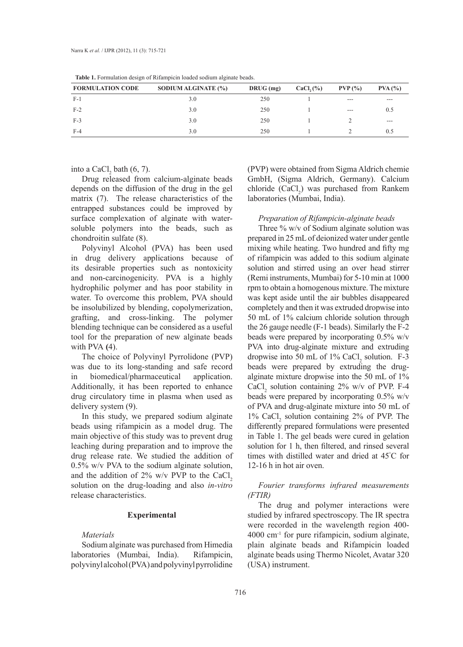| <b>Table 1.</b> I billulation design of Khampichi loaded soulum alginate beaus. |                     |             |             |           |         |  |  |  |
|---------------------------------------------------------------------------------|---------------------|-------------|-------------|-----------|---------|--|--|--|
| <b>FORMULATION CODE</b>                                                         | SODIUM ALGINATE (%) | $DRUG$ (mg) | $CaCl2(\%)$ | $PVP($ %) | PVA (%) |  |  |  |
| $F-1$                                                                           | 3.0                 | 250         |             | ---       | ---     |  |  |  |
| $F-2$                                                                           | 3.0                 | 250         |             | $- - -$   | 0.5     |  |  |  |
| $F-3$                                                                           | 3.0                 | 250         |             |           | $- - -$ |  |  |  |
| $F-4$                                                                           | 3.0                 | 250         |             |           | 0.5     |  |  |  |

**Table 1.** Formulation design of Rifampicin loaded sodium alginate beads.

into a CaCl<sub>2</sub> bath  $(6, 7)$ .

Drug released from calcium-alginate beads depends on the diffusion of the drug in the gel matrix (7). The release characteristics of the entrapped substances could be improved by surface complexation of alginate with watersoluble polymers into the beads, such as chondroitin sulfate (8).

Polyvinyl Alcohol (PVA) has been used in drug delivery applications because of its desirable properties such as nontoxicity and non-carcinogenicity. PVA is a highly hydrophilic polymer and has poor stability in water. To overcome this problem, PVA should be insolubilized by blending, copolymerization, grafting, and cross-linking. The polymer blending technique can be considered as a useful tool for the preparation of new alginate beads with PVA **(**4).

The choice of Polyvinyl Pyrrolidone (PVP) was due to its long-standing and safe record in biomedical/pharmaceutical application. Additionally, it has been reported to enhance drug circulatory time in plasma when used as delivery system (9).

In this study, we prepared sodium alginate beads using rifampicin as a model drug. The main objective of this study was to prevent drug leaching during preparation and to improve the drug release rate. We studied the addition of 0.5% w/v PVA to the sodium alginate solution, and the addition of  $2\%$  w/v PVP to the CaCl, solution on the drug-loading and also *in-vitro*  release characteristics.

### **Experimental**

### *Materials*

Sodium alginate was purchased from Himedia laboratories (Mumbai, India). Rifampicin, polyvinyl alcohol (PVA) and polyvinyl pyrrolidine (PVP) were obtained from Sigma Aldrich chemie GmbH, (Sigma Aldrich, Germany). Calcium chloride  $(CaCl<sub>2</sub>)$  was purchased from Rankem laboratories (Mumbai, India).

### *Preparation of Rifampicin-alginate beads*

Three % w/v of Sodium alginate solution was prepared in 25 mL of deionized water under gentle mixing while heating. Two hundred and fifty mg of rifampicin was added to this sodium alginate solution and stirred using an over head stirrer (Remi instruments, Mumbai) for 5-10 min at 1000 rpm to obtain a homogenous mixture. The mixture was kept aside until the air bubbles disappeared completely and then it was extruded dropwise into 50 mL of 1% calcium chloride solution through the 26 gauge needle (F-1 beads). Similarly the F-2 beads were prepared by incorporating 0.5% w/v PVA into drug-alginate mixture and extruding dropwise into 50 mL of  $1\%$  CaCl<sub>2</sub> solution. F-3 beads were prepared by extruding the drugalginate mixture dropwise into the 50 mL of 1%  $CaCl<sub>2</sub>$  solution containing 2% w/v of PVP. F-4 beads were prepared by incorporating 0.5% w/v of PVA and drug-alginate mixture into 50 mL of 1% CaCl<sub>2</sub> solution containing 2% of PVP. The differently prepared formulations were presented in Table 1. The gel beads were cured in gelation solution for 1 h, then filtered, and rinsed several times with distilled water and dried at 45° C for 12-16 h in hot air oven.

## *Fourier transforms infrared measurements (FTIR)*

The drug and polymer interactions were studied by infrared spectroscopy. The IR spectra were recorded in the wavelength region 400- 4000 cm-1 for pure rifampicin, sodium alginate, plain alginate beads and Rifampicin loaded alginate beads using Thermo Nicolet, Avatar 320 (USA) instrument.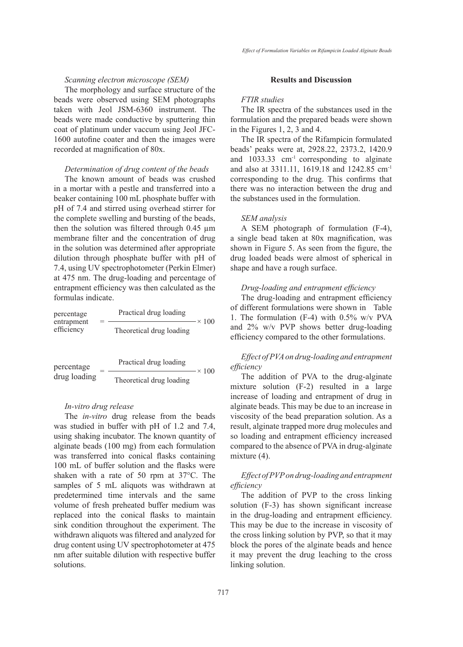# *Scanning electron microscope (SEM)*

The morphology and surface structure of the beads were observed using SEM photographs taken with Jeol JSM-6360 instrument. The beads were made conductive by sputtering thin coat of platinum under vaccum using Jeol JFC-1600 autofine coater and then the images were recorded at magnification of 80x.

### *Determination of drug content of the beads*

The known amount of beads was crushed in a mortar with a pestle and transferred into a beaker containing 100 mL phosphate buffer with pH of 7.4 and stirred using overhead stirrer for the complete swelling and bursting of the beads, then the solution was filtered through 0.45 µm membrane filter and the concentration of drug in the solution was determined after appropriate dilution through phosphate buffer with pH of 7.4, using UV spectrophotometer (Perkin Elmer) at 475 nm. The drug-loading and percentage of entrapment efficiency was then calculated as the formulas indicate.

| percentage<br>entrapment<br>efficiency |  | Practical drug loading   | $\sim 100$ |
|----------------------------------------|--|--------------------------|------------|
|                                        |  | Theoretical drug loading |            |

$$
percentage\ndrug loading = \frac{Practical drug loading}{Theoretical drug loading} \times 100
$$

#### *In-vitro drug release*

The *in-vitro* drug release from the beads was studied in buffer with pH of 1.2 and 7.4, using shaking incubator. The known quantity of alginate beads (100 mg) from each formulation was transferred into conical flasks containing 100 mL of buffer solution and the flasks were shaken with a rate of 50 rpm at 37°C. The samples of 5 mL aliquots was withdrawn at predetermined time intervals and the same volume of fresh preheated buffer medium was replaced into the conical flasks to maintain sink condition throughout the experiment. The withdrawn aliquots was filtered and analyzed for drug content using UV spectrophotometer at 475 nm after suitable dilution with respective buffer solutions.

## **Results and Discussion**

## *FTIR studies*

The IR spectra of the substances used in the formulation and the prepared beads were shown in the Figures 1, 2, 3 and 4.

The IR spectra of the Rifampicin formulated beads' peaks were at, 2928.22, 2373.2, 1420.9 and 1033.33 cm-1 corresponding to alginate and also at 3311.11, 1619.18 and 1242.85 cm-1 corresponding to the drug. This confirms that there was no interaction between the drug and the substances used in the formulation.

### *SEM analysis*

A SEM photograph of formulation (F-4), a single bead taken at 80x magnification, was shown in Figure 5. As seen from the figure, the drug loaded beads were almost of spherical in shape and have a rough surface.

#### *Drug-loading and entrapment efficiency*

The drug-loading and entrapment efficiency of different formulations were shown in Table 1. The formulation (F-4) with 0.5% w/v PVA and 2% w/v PVP shows better drug-loading efficiency compared to the other formulations.

# *Effect of PVA on drug-loading and entrapment efficiency*

The addition of PVA to the drug-alginate mixture solution (F-2) resulted in a large increase of loading and entrapment of drug in alginate beads. This may be due to an increase in viscosity of the bead preparation solution. As a result, alginate trapped more drug molecules and so loading and entrapment efficiency increased compared to the absence of PVA in drug-alginate mixture  $(4)$ .

# *Effect of PVP on drug-loading and entrapment efficiency*

The addition of PVP to the cross linking solution (F-3) has shown significant increase in the drug-loading and entrapment efficiency. This may be due to the increase in viscosity of the cross linking solution by PVP, so that it may block the pores of the alginate beads and hence it may prevent the drug leaching to the cross linking solution.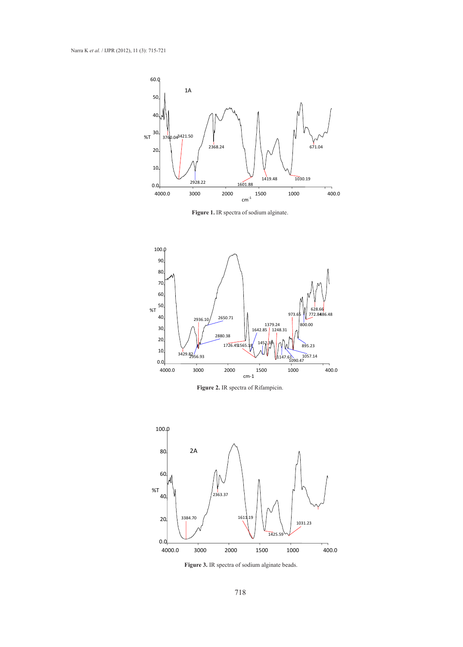

**Figure 1.** IR spectra of sodium alginate.



**Figure 2.** IR spectra of Rifampicin.



**Figure 3.** IR spectra of sodium alginate beads.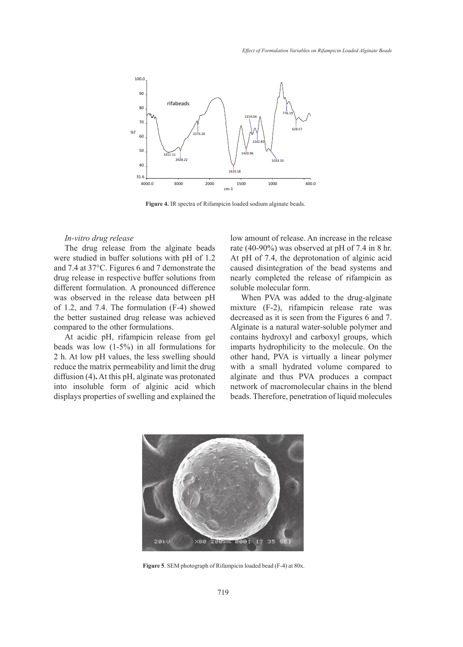

**Figure 4.** IR spectra of Rifampicin loaded sodium alginate beads.

### *In-vitro drug release*

The drug release from the alginate beads were studied in buffer solutions with pH of 1.2 and 7.4 at 37°C. Figures 6 and 7 demonstrate the drug release in respective buffer solutions from different formulation. A pronounced difference was observed in the release data between pH of 1.2, and 7.4. The formulation (F-4) showed the better sustained drug release was achieved compared to the other formulations.

At acidic pH, rifampicin release from gel beads was low (1-5%) in all formulations for 2 h. At low pH values, the less swelling should reduce the matrix permeability and limit the drug diffusion (4)**.** At this pH, alginate was protonated into insoluble form of alginic acid which displays properties of swelling and explained the

low amount of release. An increase in the release rate (40-90%) was observed at pH of 7.4 in 8 hr. At pH of 7.4, the deprotonation of alginic acid caused disintegration of the bead systems and nearly completed the release of rifampicin as soluble molecular form.

When PVA was added to the drug-alginate mixture (F-2), rifampicin release rate was decreased as it is seen from the Figures 6 and 7. Alginate is a natural water-soluble polymer and contains hydroxyl and carboxyl groups, which imparts hydrophilicity to the molecule. On the other hand, PVA is virtually a linear polymer with a small hydrated volume compared to alginate and thus PVA produces a compact network of macromolecular chains in the blend beads. Therefore, penetration of liquid molecules



**Figure 5**. SEM photograph of Rifampicin loaded bead (F-4) at 80x.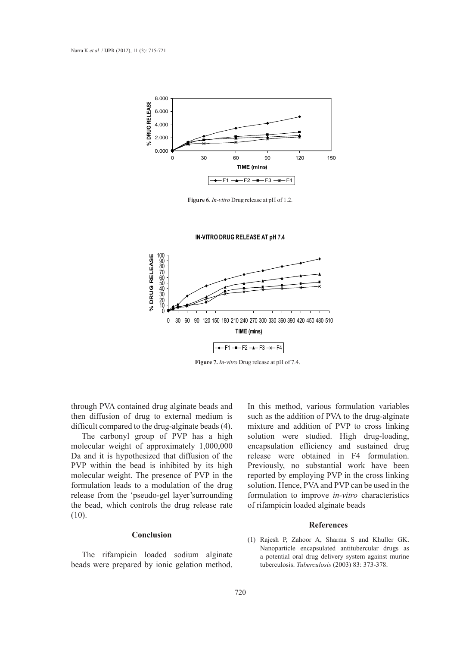

**Figure 6**. *In-vitro* Drug release at pH of 1.2.

**IN-VITRO DRUG RELEASE AT pH 7.4**



**Figure 7.** *In-vitro* Drug release at pH of 7.4.

through PVA contained drug alginate beads and then diffusion of drug to external medium is difficult compared to the drug-alginate beads (4).

The carbonyl group of PVP has a high molecular weight of approximately 1,000,000 Da and it is hypothesized that diffusion of the PVP within the bead is inhibited by its high molecular weight. The presence of PVP in the formulation leads to a modulation of the drug release from the 'pseudo-gel layer'surrounding the bead, which controls the drug release rate (10).

### **Conclusion**

The rifampicin loaded sodium alginate beads were prepared by ionic gelation method. In this method, various formulation variables such as the addition of PVA to the drug-alginate mixture and addition of PVP to cross linking solution were studied. High drug-loading, encapsulation efficiency and sustained drug release were obtained in F4 formulation. Previously, no substantial work have been reported by employing PVP in the cross linking solution. Hence, PVA and PVP can be used in the formulation to improve *in-vitro* characteristics of rifampicin loaded alginate beads

#### **References**

(1) Rajesh P, Zahoor A, Sharma S and Khuller GK. Nanoparticle encapsulated antitubercular drugs as a potential oral drug delivery system against murine tuberculosis. *Tuberculosis* (2003) 83: 373-378.